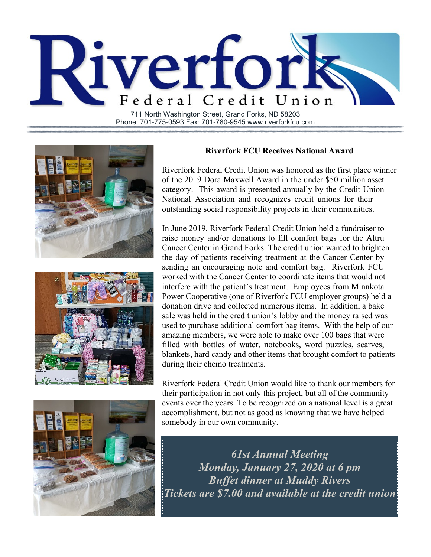

Phone: 701-775-0593 Fax: 701-780-9545 www.riverforkfcu.com



## **Riverfork FCU Receives National Award**

Riverfork Federal Credit Union was honored as the first place winner of the 2019 Dora Maxwell Award in the under \$50 million asset category. This award is presented annually by the Credit Union National Association and recognizes credit unions for their outstanding social responsibility projects in their communities.

In June 2019, Riverfork Federal Credit Union held a fundraiser to raise money and/or donations to fill comfort bags for the Altru Cancer Center in Grand Forks. The credit union wanted to brighten the day of patients receiving treatment at the Cancer Center by sending an encouraging note and comfort bag. Riverfork FCU worked with the Cancer Center to coordinate items that would not interfere with the patient's treatment. Employees from Minnkota Power Cooperative (one of Riverfork FCU employer groups) held a donation drive and collected numerous items. In addition, a bake sale was held in the credit union's lobby and the money raised was used to purchase additional comfort bag items. With the help of our amazing members, we were able to make over 100 bags that were filled with bottles of water, notebooks, word puzzles, scarves, blankets, hard candy and other items that brought comfort to patients during their chemo treatments.

Riverfork Federal Credit Union would like to thank our members for their participation in not only this project, but all of the community events over the years. To be recognized on a national level is a great accomplishment, but not as good as knowing that we have helped somebody in our own community.



*61st Annual Meeting Monday, January 27, 2020 at 6 pm Buffet dinner at Muddy Rivers Tickets are \$7.00 and available at the credit union*